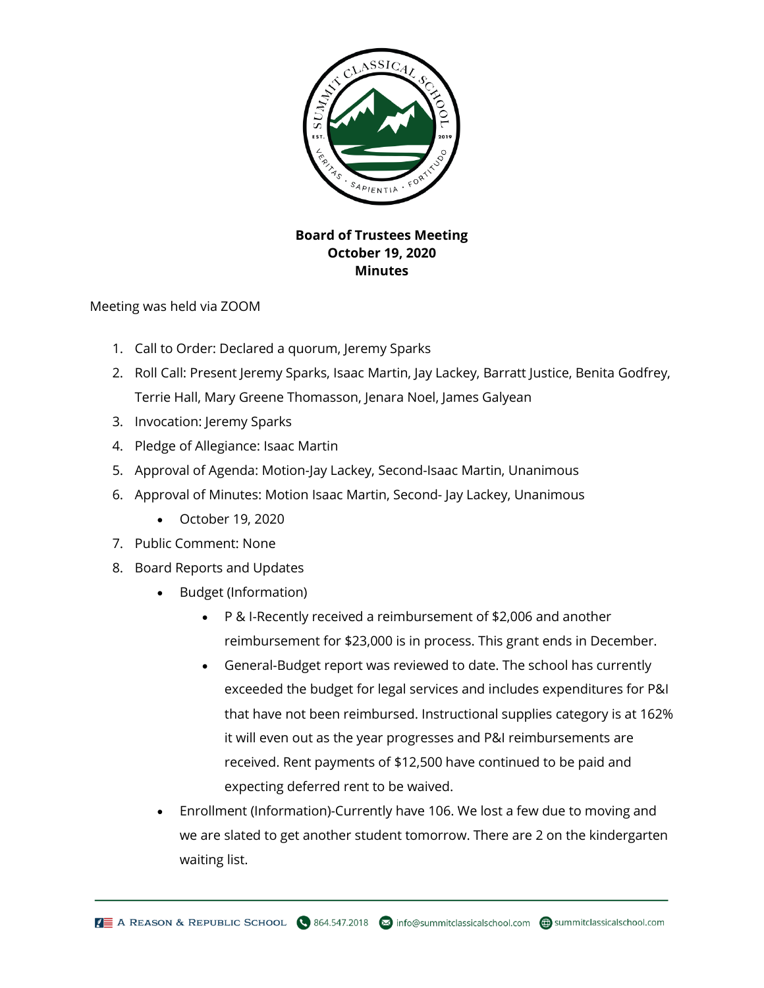

## **Board of Trustees Meeting October 19, 2020 Minutes**

Meeting was held via ZOOM

- 1. Call to Order: Declared a quorum, Jeremy Sparks
- 2. Roll Call: Present Jeremy Sparks, Isaac Martin, Jay Lackey, Barratt Justice, Benita Godfrey, Terrie Hall, Mary Greene Thomasson, Jenara Noel, James Galyean
- 3. Invocation: Jeremy Sparks
- 4. Pledge of Allegiance: Isaac Martin
- 5. Approval of Agenda: Motion-Jay Lackey, Second-Isaac Martin, Unanimous
- 6. Approval of Minutes: Motion Isaac Martin, Second- Jay Lackey, Unanimous
	- October 19, 2020
- 7. Public Comment: None
- 8. Board Reports and Updates
	- Budget (Information)
		- P & I-Recently received a reimbursement of \$2,006 and another reimbursement for \$23,000 is in process. This grant ends in December.
		- General-Budget report was reviewed to date. The school has currently exceeded the budget for legal services and includes expenditures for P&I that have not been reimbursed. Instructional supplies category is at 162% it will even out as the year progresses and P&I reimbursements are received. Rent payments of \$12,500 have continued to be paid and expecting deferred rent to be waived.
	- Enrollment (Information)-Currently have 106. We lost a few due to moving and we are slated to get another student tomorrow. There are 2 on the kindergarten waiting list.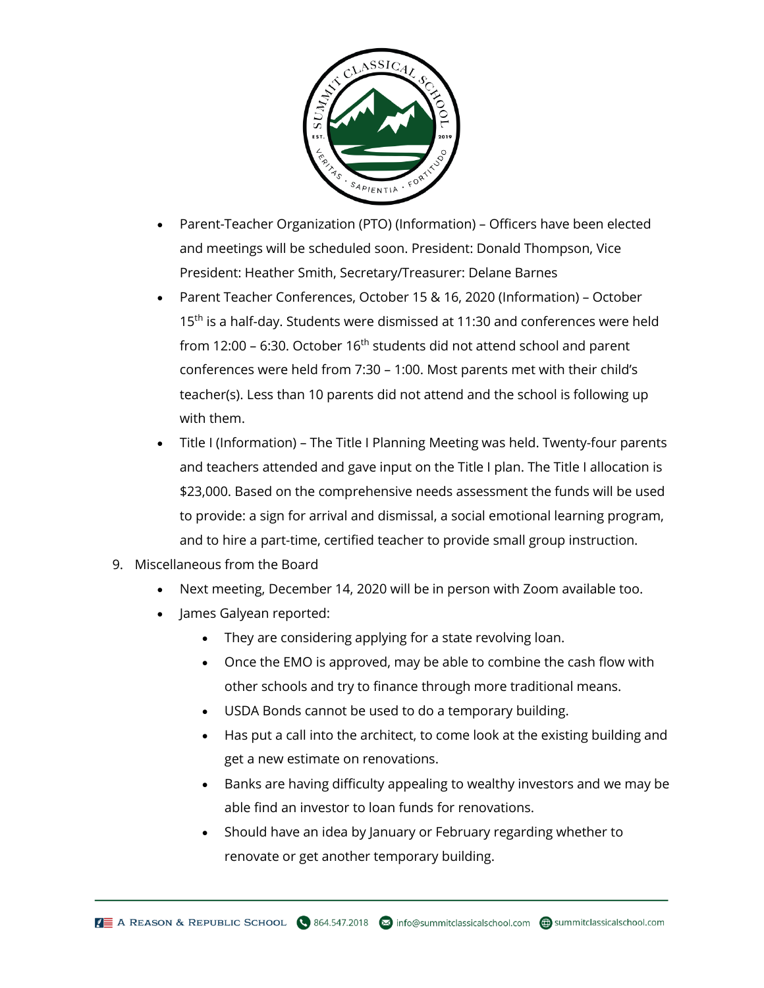

- Parent-Teacher Organization (PTO) (Information) Officers have been elected and meetings will be scheduled soon. President: Donald Thompson, Vice President: Heather Smith, Secretary/Treasurer: Delane Barnes
- Parent Teacher Conferences, October 15 & 16, 2020 (Information) October 15<sup>th</sup> is a half-day. Students were dismissed at 11:30 and conferences were held from 12:00 – 6:30. October 16<sup>th</sup> students did not attend school and parent conferences were held from 7:30 – 1:00. Most parents met with their child's teacher(s). Less than 10 parents did not attend and the school is following up with them.
- Title I (Information) The Title I Planning Meeting was held. Twenty-four parents and teachers attended and gave input on the Title I plan. The Title I allocation is \$23,000. Based on the comprehensive needs assessment the funds will be used to provide: a sign for arrival and dismissal, a social emotional learning program, and to hire a part-time, certified teacher to provide small group instruction.
- 9. Miscellaneous from the Board
	- Next meeting, December 14, 2020 will be in person with Zoom available too.
	- James Galyean reported:
		- They are considering applying for a state revolving loan.
		- Once the EMO is approved, may be able to combine the cash flow with other schools and try to finance through more traditional means.
		- USDA Bonds cannot be used to do a temporary building.
		- Has put a call into the architect, to come look at the existing building and get a new estimate on renovations.
		- Banks are having difficulty appealing to wealthy investors and we may be able find an investor to loan funds for renovations.
		- Should have an idea by January or February regarding whether to renovate or get another temporary building.